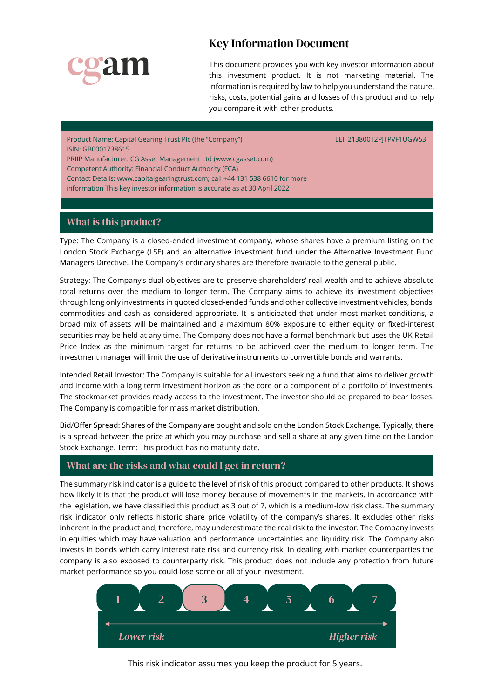

# Key Information Document

This document provides you with key investor information about this investment product. It is not marketing material. The information is required by law to help you understand the nature, risks, costs, potential gains and losses of this product and to help you compare it with other products.

Product Name: Capital Gearing Trust Plc (the "Company") LEI: 213800T2PJTPVF1UGW53 ISIN: GB0001738615

PRIIP Manufacturer: CG Asset Management Ltd (www.cgasset.com)

Competent Authority: Financial Conduct Authority (FCA)

Contact Details: www.capitalgearingtrust.com; call +44 131 538 6610 for more

information This key investor information is accurate as at 30 April 2022

## What is this product?

Type: The Company is a closed-ended investment company, whose shares have a premium listing on the London Stock Exchange (LSE) and an alternative investment fund under the Alternative Investment Fund Managers Directive. The Company's ordinary shares are therefore available to the general public.

Strategy: The Company's dual objectives are to preserve shareholders' real wealth and to achieve absolute total returns over the medium to longer term. The Company aims to achieve its investment objectives through long only investments in quoted closed-ended funds and other collective investment vehicles, bonds, commodities and cash as considered appropriate. It is anticipated that under most market conditions, a broad mix of assets will be maintained and a maximum 80% exposure to either equity or fixed-interest securities may be held at any time. The Company does not have a formal benchmark but uses the UK Retail Price Index as the minimum target for returns to be achieved over the medium to longer term. The investment manager will limit the use of derivative instruments to convertible bonds and warrants.

Intended Retail Investor: The Company is suitable for all investors seeking a fund that aims to deliver growth and income with a long term investment horizon as the core or a component of a portfolio of investments. The stockmarket provides ready access to the investment. The investor should be prepared to bear losses. The Company is compatible for mass market distribution.

Bid/Offer Spread: Shares of the Company are bought and sold on the London Stock Exchange. Typically, there is a spread between the price at which you may purchase and sell a share at any given time on the London Stock Exchange. Term: This product has no maturity date.

### What are the risks and what could I get in return?

The summary risk indicator is a guide to the level of risk of this product compared to other products. It shows how likely it is that the product will lose money because of movements in the markets. In accordance with the legislation, we have classified this product as 3 out of 7, which is a medium-low risk class. The summary risk indicator only reflects historic share price volatility of the company's shares. It excludes other risks inherent in the product and, therefore, may underestimate the real risk to the investor. The Company invests in equities which may have valuation and performance uncertainties and liquidity risk. The Company also invests in bonds which carry interest rate risk and currency risk. In dealing with market counterparties the company is also exposed to counterparty risk. This product does not include any protection from future market performance so you could lose some or all of your investment.



This risk indicator assumes you keep the product for 5 years.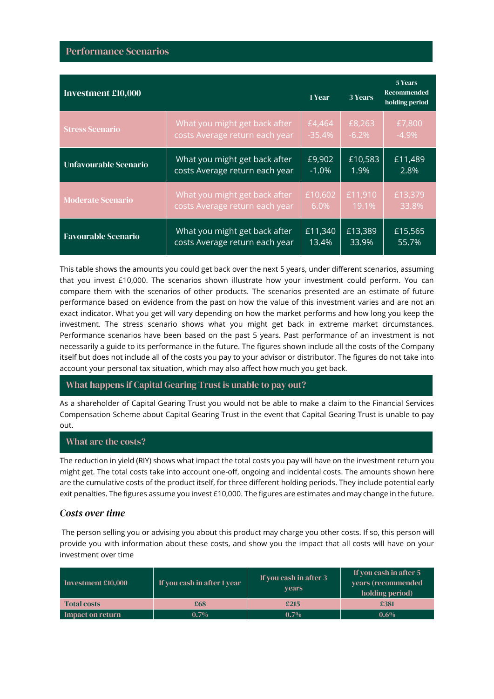| <b>Investment £10,000</b>    |                                | 1 Year   | 3 Years  | <b>5 Years</b><br><b>Recommended</b><br>holding period |
|------------------------------|--------------------------------|----------|----------|--------------------------------------------------------|
| <b>Stress Scenario</b>       | What you might get back after  | £4,464   | £8,263   | £7,800                                                 |
|                              | costs Average return each year | $-35.4%$ | $-6.2\%$ | $-4.9\%$                                               |
| <b>Unfavourable Scenario</b> | What you might get back after  | £9,902   | £10,583  | £11,489                                                |
|                              | costs Average return each year | $-1.0%$  | 1.9%     | 2.8%                                                   |
| <b>Moderate Scenario</b>     | What you might get back after  | £10,602  | £11,910  | £13,379                                                |
|                              | costs Average return each year | 6.0%     | 19.1%    | 33.8%                                                  |
| <b>Favourable Scenario</b>   | What you might get back after  | £11,340  | £13,389  | £15,565                                                |
|                              | costs Average return each year | 13.4%    | 33.9%    | 55.7%                                                  |

This table shows the amounts you could get back over the next 5 years, under different scenarios, assuming that you invest £10,000. The scenarios shown illustrate how your investment could perform. You can compare them with the scenarios of other products. The scenarios presented are an estimate of future performance based on evidence from the past on how the value of this investment varies and are not an exact indicator. What you get will vary depending on how the market performs and how long you keep the investment. The stress scenario shows what you might get back in extreme market circumstances. Performance scenarios have been based on the past 5 years. Past performance of an investment is not necessarily a guide to its performance in the future. The figures shown include all the costs of the Company itself but does not include all of the costs you pay to your advisor or distributor. The figures do not take into account your personal tax situation, which may also affect how much you get back.

### What happens if Capital Gearing Trust is unable to pay out?

As a shareholder of Capital Gearing Trust you would not be able to make a claim to the Financial Services Compensation Scheme about Capital Gearing Trust in the event that Capital Gearing Trust is unable to pay out.

### What are the costs?

The reduction in yield (RIY) shows what impact the total costs you pay will have on the investment return you might get. The total costs take into account one-off, ongoing and incidental costs. The amounts shown here are the cumulative costs of the product itself, for three different holding periods. They include potential early exit penalties. The figures assume you invest £10,000. The figures are estimates and may change in the future.

### *Costs over time*

The person selling you or advising you about this product may charge you other costs. If so, this person will provide you with information about these costs, and show you the impact that all costs will have on your investment over time

| Investment £10,000 | If you cash in after 1 year | If you cash in after 3<br><b>vears</b> | If you cash in after 5<br>vears (recommended<br>holding period) |
|--------------------|-----------------------------|----------------------------------------|-----------------------------------------------------------------|
| <b>Total costs</b> | £68                         | £215                                   | £381                                                            |
| Impact on return   | $0.7\%$                     | $0.7\%$                                | $0.6\%$                                                         |